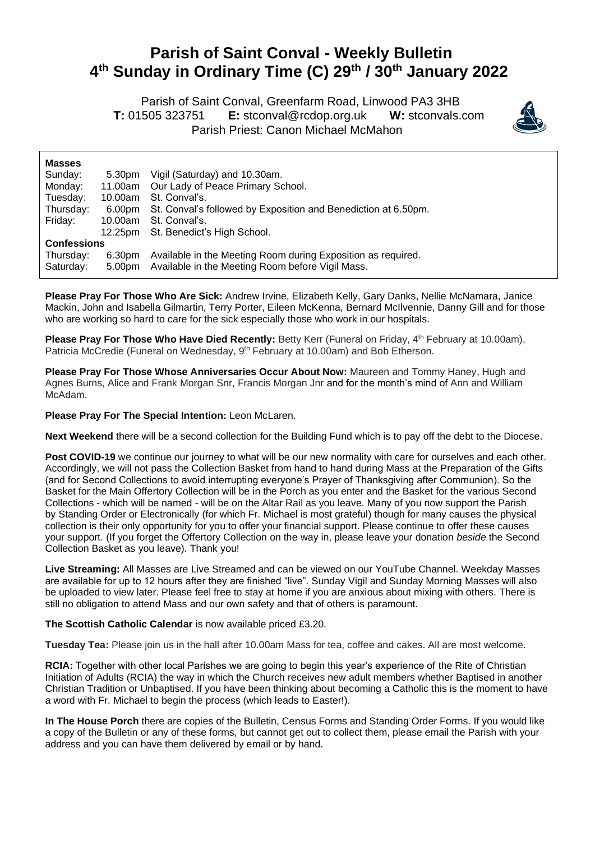## **Parish of Saint Conval - Weekly Bulletin 4 th Sunday in Ordinary Time (C) 29 th / 30th January 2022**

 Parish of Saint Conval, Greenfarm Road, Linwood PA3 3HB **T:** 01505 323751 **E:** [stconval@rcdop.org.uk](mailto:stconval@rcdop.org.uk) **W:** stconvals.com Parish Priest: Canon Michael McMahon



| <b>Masses</b>      |         |                                                                       |
|--------------------|---------|-----------------------------------------------------------------------|
| Sunday:            | 5.30pm  | Vigil (Saturday) and 10.30am.                                         |
| Monday:            |         | 11.00am Our Lady of Peace Primary School.                             |
| Tuesday:           |         | 10.00am St. Conval's.                                                 |
| Thursday:          |         | 6.00pm St. Conval's followed by Exposition and Benediction at 6.50pm. |
| Friday:            | 10.00am | St. Conval's.                                                         |
|                    |         | 12.25pm St. Benedict's High School.                                   |
| <b>Confessions</b> |         |                                                                       |
| Thursday:          | 6.30pm  | Available in the Meeting Room during Exposition as required.          |
| Saturday:          |         | 5.00pm Available in the Meeting Room before Vigil Mass.               |

**Please Pray For Those Who Are Sick:** Andrew Irvine, Elizabeth Kelly, Gary Danks, Nellie McNamara, Janice Mackin, John and Isabella Gilmartin, Terry Porter, Eileen McKenna, Bernard McIlvennie, Danny Gill and for those who are working so hard to care for the sick especially those who work in our hospitals.

Please Pray For Those Who Have Died Recently: Betty Kerr (Funeral on Friday, 4<sup>th</sup> February at 10.00am), Patricia McCredie (Funeral on Wednesday, 9<sup>th</sup> February at 10.00am) and Bob Etherson.

**Please Pray For Those Whose Anniversaries Occur About Now:** Maureen and Tommy Haney, Hugh and Agnes Burns, Alice and Frank Morgan Snr, Francis Morgan Jnr and for the month's mind of Ann and William McAdam.

**Please Pray For The Special Intention:** Leon McLaren.

**Next Weekend** there will be a second collection for the Building Fund which is to pay off the debt to the Diocese.

**Post COVID-19** we continue our journey to what will be our new normality with care for ourselves and each other. Accordingly, we will not pass the Collection Basket from hand to hand during Mass at the Preparation of the Gifts (and for Second Collections to avoid interrupting everyone's Prayer of Thanksgiving after Communion). So the Basket for the Main Offertory Collection will be in the Porch as you enter and the Basket for the various Second Collections - which will be named - will be on the Altar Rail as you leave. Many of you now support the Parish by Standing Order or Electronically (for which Fr. Michael is most grateful) though for many causes the physical collection is their only opportunity for you to offer your financial support. Please continue to offer these causes your support. (If you forget the Offertory Collection on the way in, please leave your donation *beside* the Second Collection Basket as you leave). Thank you!

**Live Streaming:** All Masses are Live Streamed and can be viewed on our YouTube Channel. Weekday Masses are available for up to 12 hours after they are finished "live". Sunday Vigil and Sunday Morning Masses will also be uploaded to view later. Please feel free to stay at home if you are anxious about mixing with others. There is still no obligation to attend Mass and our own safety and that of others is paramount.

**The Scottish Catholic Calendar** is now available priced £3.20.

**Tuesday Tea:** Please join us in the hall after 10.00am Mass for tea, coffee and cakes. All are most welcome.

**RCIA:** Together with other local Parishes we are going to begin this year's experience of the Rite of Christian Initiation of Adults (RCIA) the way in which the Church receives new adult members whether Baptised in another Christian Tradition or Unbaptised. If you have been thinking about becoming a Catholic this is the moment to have a word with Fr. Michael to begin the process (which leads to Easter!).

**In The House Porch** there are copies of the Bulletin, Census Forms and Standing Order Forms. If you would like a copy of the Bulletin or any of these forms, but cannot get out to collect them, please email the Parish with your address and you can have them delivered by email or by hand.